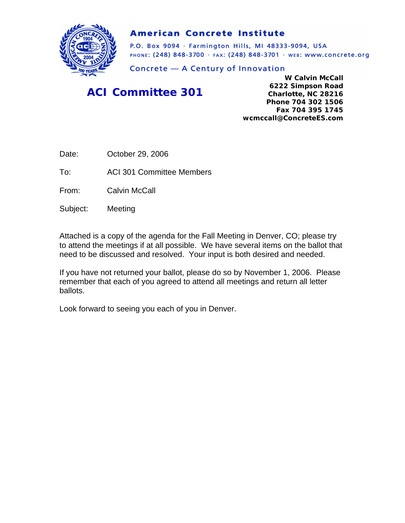

#### **American Concrete Institute**

P.O. Box 9094 · Farmington Hills, MI 48333-9094, USA PHONE: (248) 848-3700 · FAX: (248) 848-3701 · WEB: WWW.CONCrete.org

Concrete - A Century of Innovation

### *ACI Committee 301*

**W Calvin McCall 6222 Simpson Road Charlotte, NC 28216 Phone 704 302 1506 Fax 704 395 1745 wcmccall@ConcreteES.com** 

Date: October 29, 2006

To: ACI 301 Committee Members

From: Calvin McCall

Subject: Meeting

Attached is a copy of the agenda for the Fall Meeting in Denver, CO; please try to attend the meetings if at all possible. We have several items on the ballot that need to be discussed and resolved. Your input is both desired and needed.

If you have not returned your ballot, please do so by November 1, 2006. Please remember that each of you agreed to attend all meetings and return all letter ballots.

Look forward to seeing you each of you in Denver.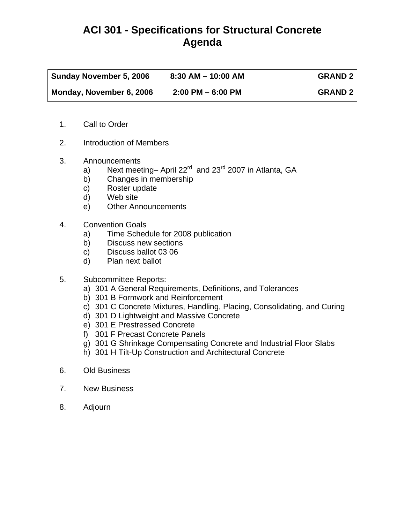## **ACI 301 - Specifications for Structural Concrete Agenda**

| <b>Sunday November 5, 2006</b> | $8:30$ AM $-$ 10:00 AM | <b>GRAND 2</b> |
|--------------------------------|------------------------|----------------|
| Monday, November 6, 2006       | $2:00$ PM $-6:00$ PM   | <b>GRAND 2</b> |

- 1. Call to Order
- 2. Introduction of Members
- 3. Announcements
	- a) Next meeting– April  $22^{\text{rd}}$  and  $23^{\text{rd}}$  2007 in Atlanta, GA
	- b) Changes in membership
	- c) Roster update
	- d) Web site
	- e) Other Announcements
- 4. Convention Goals
	- a) Time Schedule for 2008 publication
	- b) Discuss new sections
	- c) Discuss ballot 03 06
	- d) Plan next ballot
- 5. Subcommittee Reports:
	- a) 301 A General Requirements, Definitions, and Tolerances
	- b) 301 B Formwork and Reinforcement
	- c) 301 C Concrete Mixtures, Handling, Placing, Consolidating, and Curing
	- d) 301 D Lightweight and Massive Concrete
	- e) 301 E Prestressed Concrete
	- f) 301 F Precast Concrete Panels
	- g) 301 G Shrinkage Compensating Concrete and Industrial Floor Slabs
	- h) 301 H Tilt-Up Construction and Architectural Concrete
- 6. Old Business
- 7. New Business
- 8. Adjourn